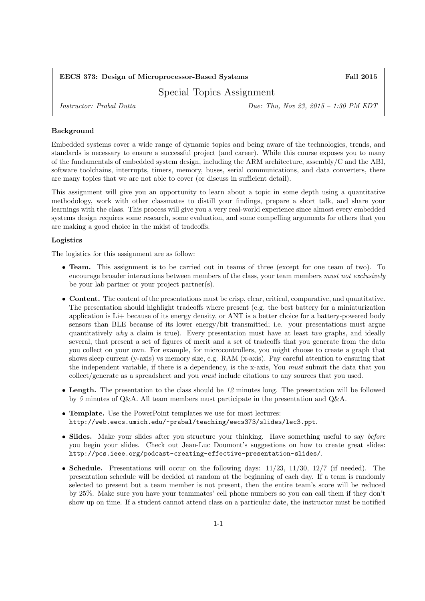# EECS 373: Design of Microprocessor-Based Systems Fall 2015

Special Topics Assignment

Instructor: Prabal Dutta Due: Thu, Nov 23, 2015 – 1:30 PM EDT

### Background

Embedded systems cover a wide range of dynamic topics and being aware of the technologies, trends, and standards is necessary to ensure a successful project (and career). While this course exposes you to many of the fundamentals of embedded system design, including the ARM architecture, assembly/C and the ABI, software toolchains, interrupts, timers, memory, buses, serial communications, and data converters, there are many topics that we are not able to cover (or discuss in sufficient detail).

This assignment will give you an opportunity to learn about a topic in some depth using a quantitative methodology, work with other classmates to distill your findings, prepare a short talk, and share your learnings with the class. This process will give you a very real-world experience since almost every embedded systems design requires some research, some evaluation, and some compelling arguments for others that you are making a good choice in the midst of tradeoffs.

#### Logistics

The logistics for this assignment are as follow:

- **Team.** This assignment is to be carried out in teams of three (except for one team of two). To encourage broader interactions between members of the class, your team members must not exclusively be your lab partner or your project partner(s).
- Content. The content of the presentations must be crisp, clear, critical, comparative, and quantitative. The presentation should highlight tradeoffs where present (e.g. the best battery for a miniaturization application is Li+ because of its energy density, or ANT is a better choice for a battery-powered body sensors than BLE because of its lower energy/bit transmitted; i.e. your presentations must argue quantitatively why a claim is true). Every presentation must have at least two graphs, and ideally several, that present a set of figures of merit and a set of tradeoffs that you generate from the data you collect on your own. For example, for microcontrollers, you might choose to create a graph that shows sleep current (y-axis) vs memory size, e.g. RAM (x-axis). Pay careful attention to ensuring that the independent variable, if there is a dependency, is the x-axis, You must submit the data that you collect/generate as a spreadsheet and you must include citations to any sources that you used.
- Length. The presentation to the class should be 12 minutes long. The presentation will be followed by 5 minutes of Q&A. All team members must participate in the presentation and Q&A.
- Template. Use the PowerPoint templates we use for most lectures: http://web.eecs.umich.edu/~prabal/teaching/eecs373/slides/lec3.ppt.
- Slides. Make your slides after you structure your thinking. Have something useful to say before you begin your slides. Check out Jean-Luc Doumont's suggestions on how to create great slides: http://pcs.ieee.org/podcast-creating-effective-presentation-slides/.
- Schedule. Presentations will occur on the following days:  $11/23$ ,  $11/30$ ,  $12/7$  (if needed). The presentation schedule will be decided at random at the beginning of each day. If a team is randomly selected to present but a team member is not present, then the entire team's score will be reduced by 25%. Make sure you have your teammates' cell phone numbers so you can call them if they don't show up on time. If a student cannot attend class on a particular date, the instructor must be notified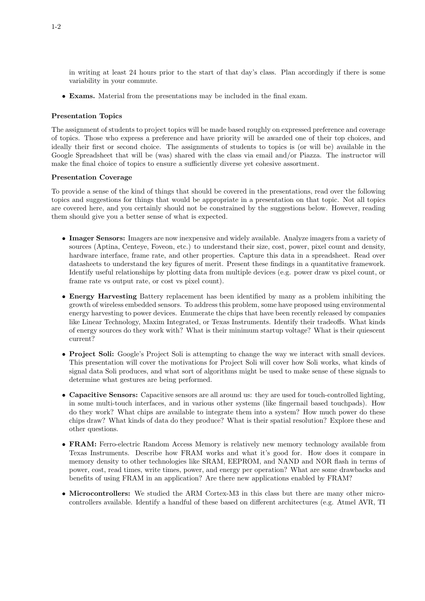in writing at least 24 hours prior to the start of that day's class. Plan accordingly if there is some variability in your commute.

• Exams. Material from the presentations may be included in the final exam.

#### Presentation Topics

The assignment of students to project topics will be made based roughly on expressed preference and coverage of topics. Those who express a preference and have priority will be awarded one of their top choices, and ideally their first or second choice. The assignments of students to topics is (or will be) available in the Google Spreadsheet that will be (was) shared with the class via email and/or Piazza. The instructor will make the final choice of topics to ensure a sufficiently diverse yet cohesive assortment.

#### Presentation Coverage

To provide a sense of the kind of things that should be covered in the presentations, read over the following topics and suggestions for things that would be appropriate in a presentation on that topic. Not all topics are covered here, and you certainly should not be constrained by the suggestions below. However, reading them should give you a better sense of what is expected.

- Imager Sensors: Imagers are now inexpensive and widely available. Analyze imagers from a variety of sources (Aptina, Centeye, Foveon, etc.) to understand their size, cost, power, pixel count and density, hardware interface, frame rate, and other properties. Capture this data in a spreadsheet. Read over datasheets to understand the key figures of merit. Present these findings in a quantitative framework. Identify useful relationships by plotting data from multiple devices (e.g. power draw vs pixel count, or frame rate vs output rate, or cost vs pixel count).
- Energy Harvesting Battery replacement has been identified by many as a problem inhibiting the growth of wireless embedded sensors. To address this problem, some have proposed using environmental energy harvesting to power devices. Enumerate the chips that have been recently released by companies like Linear Technology, Maxim Integrated, or Texas Instruments. Identify their tradeoffs. What kinds of energy sources do they work with? What is their minimum startup voltage? What is their quiescent current?
- Project Soli: Google's Project Soli is attempting to change the way we interact with small devices. This presentation will cover the motivations for Project Soli will cover how Soli works, what kinds of signal data Soli produces, and what sort of algorithms might be used to make sense of these signals to determine what gestures are being performed.
- Capacitive Sensors: Capacitive sensors are all around us: they are used for touch-controlled lighting, in some multi-touch interfaces, and in various other systems (like fingernail based touchpads). How do they work? What chips are available to integrate them into a system? How much power do these chips draw? What kinds of data do they produce? What is their spatial resolution? Explore these and other questions.
- FRAM: Ferro-electric Random Access Memory is relatively new memory technology available from Texas Instruments. Describe how FRAM works and what it's good for. How does it compare in memory density to other technologies like SRAM, EEPROM, and NAND and NOR flash in terms of power, cost, read times, write times, power, and energy per operation? What are some drawbacks and benefits of using FRAM in an application? Are there new applications enabled by FRAM?
- Microcontrollers: We studied the ARM Cortex-M3 in this class but there are many other microcontrollers available. Identify a handful of these based on different architectures (e.g. Atmel AVR, TI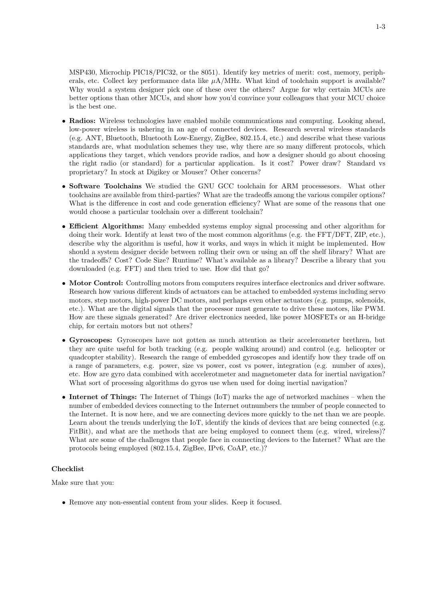MSP430, Microchip PIC18/PIC32, or the 8051). Identify key metrics of merit: cost, memory, peripherals, etc. Collect key performance data like  $\mu A/MHz$ . What kind of toolchain support is available? Why would a system designer pick one of these over the others? Argue for why certain MCUs are better options than other MCUs, and show how you'd convince your colleagues that your MCU choice is the best one.

- Radios: Wireless technologies have enabled mobile communications and computing. Looking ahead, low-power wireless is ushering in an age of connected devices. Research several wireless standards (e.g. ANT, Bluetooth, Bluetooth Low-Energy, ZigBee, 802.15.4, etc.) and describe what these various standards are, what modulation schemes they use, why there are so many different protocols, which applications they target, which vendors provide radios, and how a designer should go about choosing the right radio (or standard) for a particular application. Is it cost? Power draw? Standard vs proprietary? In stock at Digikey or Mouser? Other concerns?
- Software Toolchains We studied the GNU GCC toolchain for ARM processesors. What other toolchains are available from third-parties? What are the tradeoffs among the various compiler options? What is the difference in cost and code generation efficiency? What are some of the reasons that one would choose a particular toolchain over a different toolchain?
- Efficient Algorithms: Many embedded systems employ signal processing and other algorithm for doing their work. Identify at least two of the most common algorithms (e.g. the FFT/DFT, ZIP, etc.), describe why the algorithm is useful, how it works, and ways in which it might be implemented. How should a system designer decide between rolling their own or using an off the shelf library? What are the tradeoffs? Cost? Code Size? Runtime? What's available as a library? Describe a library that you downloaded (e.g. FFT) and then tried to use. How did that go?
- Motor Control: Controlling motors from computers requires interface electronics and driver software. Research how various different kinds of actuators can be attached to embedded systems including servo motors, step motors, high-power DC motors, and perhaps even other actuators (e.g. pumps, solenoids, etc.). What are the digital signals that the processor must generate to drive these motors, like PWM. How are these signals generated? Are driver electronics needed, like power MOSFETs or an H-bridge chip, for certain motors but not others?
- Gyroscopes: Gyroscopes have not gotten as much attention as their accelerometer brethren, but they are quite useful for both tracking (e.g. people walking around) and control (e.g. helicopter or quadcopter stability). Research the range of embedded gyroscopes and identify how they trade off on a range of parameters, e.g. power, size vs power, cost vs power, integration (e.g. number of axes), etc. How are gyro data combined with accelerotmeter and magnetometer data for inertial navigation? What sort of processing algorithms do gyros use when used for doing inertial navigation?
- Internet of Things: The Internet of Things (IoT) marks the age of networked machines when the number of embedded devices connecting to the Internet outnumbers the number of people connected to the Internet. It is now here, and we are connecting devices more quickly to the net than we are people. Learn about the trends underlying the IoT, identify the kinds of devices that are being connected (e.g. FitBit), and what are the methods that are being employed to connect them (e.g. wired, wireless)? What are some of the challenges that people face in connecting devices to the Internet? What are the protocols being employed (802.15.4, ZigBee, IPv6, CoAP, etc.)?

## Checklist

Make sure that you:

• Remove any non-essential content from your slides. Keep it focused.